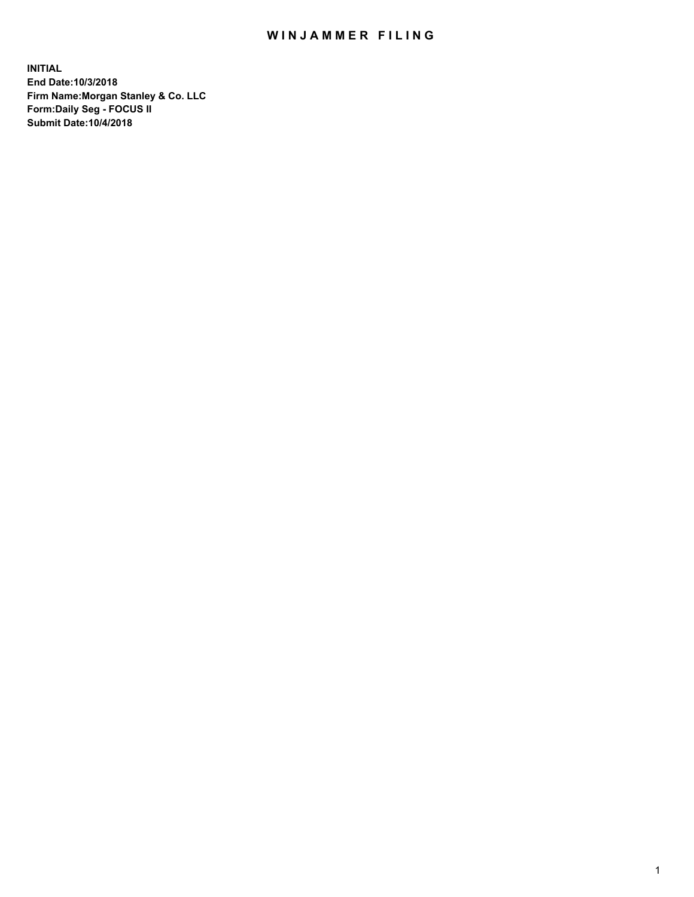## WIN JAMMER FILING

**INITIAL End Date:10/3/2018 Firm Name:Morgan Stanley & Co. LLC Form:Daily Seg - FOCUS II Submit Date:10/4/2018**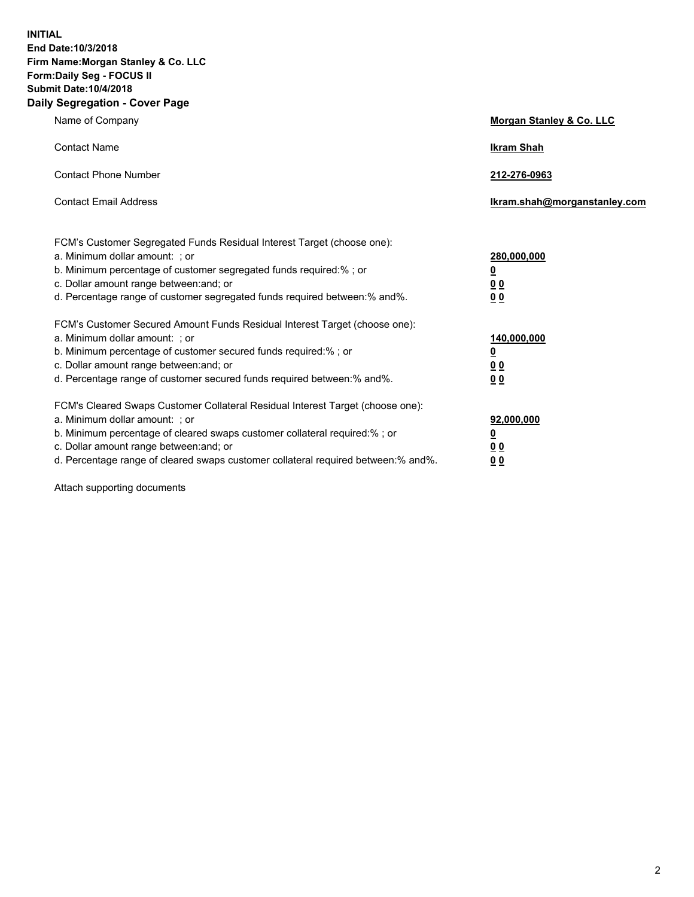**INITIAL End Date:10/3/2018 Firm Name:Morgan Stanley & Co. LLC Form:Daily Seg - FOCUS II Submit Date:10/4/2018 Daily Segregation - Cover Page**

| Name of Company                                                                                                                                                                                                                                                                                                                | Morgan Stanley & Co. LLC                               |
|--------------------------------------------------------------------------------------------------------------------------------------------------------------------------------------------------------------------------------------------------------------------------------------------------------------------------------|--------------------------------------------------------|
| <b>Contact Name</b>                                                                                                                                                                                                                                                                                                            | <b>Ikram Shah</b>                                      |
| <b>Contact Phone Number</b>                                                                                                                                                                                                                                                                                                    | 212-276-0963                                           |
| <b>Contact Email Address</b>                                                                                                                                                                                                                                                                                                   | lkram.shah@morganstanley.com                           |
| FCM's Customer Segregated Funds Residual Interest Target (choose one):<br>a. Minimum dollar amount: ; or<br>b. Minimum percentage of customer segregated funds required:% ; or<br>c. Dollar amount range between: and; or<br>d. Percentage range of customer segregated funds required between:% and%.                         | 280,000,000<br><u>0</u><br><u>0 0</u><br>0 Q           |
| FCM's Customer Secured Amount Funds Residual Interest Target (choose one):<br>a. Minimum dollar amount: ; or<br>b. Minimum percentage of customer secured funds required:%; or<br>c. Dollar amount range between: and; or<br>d. Percentage range of customer secured funds required between:% and%.                            | 140,000,000<br><u>0</u><br><u>00</u><br>0 <sub>0</sub> |
| FCM's Cleared Swaps Customer Collateral Residual Interest Target (choose one):<br>a. Minimum dollar amount: ; or<br>b. Minimum percentage of cleared swaps customer collateral required:% ; or<br>c. Dollar amount range between: and; or<br>d. Percentage range of cleared swaps customer collateral required between:% and%. | 92,000,000<br><u>0</u><br><u>00</u><br>0 <sup>0</sup>  |

Attach supporting documents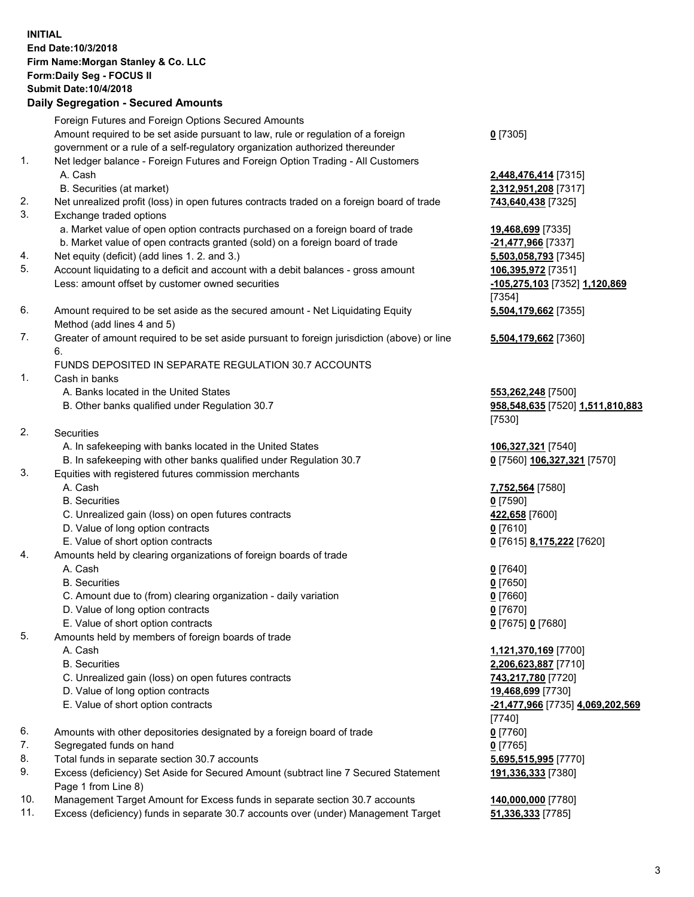## **INITIAL End Date:10/3/2018 Firm Name:Morgan Stanley & Co. LLC Form:Daily Seg - FOCUS II Submit Date:10/4/2018 Daily Segregation - Secured Amounts**

Foreign Futures and Foreign Options Secured Amounts Amount required to be set aside pursuant to law, rule or regulation of a foreign government or a rule of a self-regulatory organization authorized thereunder

- 1. Net ledger balance Foreign Futures and Foreign Option Trading All Customers A. Cash **2,448,476,414** [7315]
	- B. Securities (at market) **2,312,951,208** [7317]
- 2. Net unrealized profit (loss) in open futures contracts traded on a foreign board of trade **743,640,438** [7325]
- 3. Exchange traded options
	- a. Market value of open option contracts purchased on a foreign board of trade **19,468,699** [7335]
	- b. Market value of open contracts granted (sold) on a foreign board of trade **-21,477,966** [7337]
- 4. Net equity (deficit) (add lines 1. 2. and 3.) **5,503,058,793** [7345]
- 5. Account liquidating to a deficit and account with a debit balances gross amount **106,395,972** [7351] Less: amount offset by customer owned securities **-105,275,103** [7352] **1,120,869**
- 6. Amount required to be set aside as the secured amount Net Liquidating Equity Method (add lines 4 and 5)
- 7. Greater of amount required to be set aside pursuant to foreign jurisdiction (above) or line 6.

## FUNDS DEPOSITED IN SEPARATE REGULATION 30.7 ACCOUNTS

- 1. Cash in banks
	- A. Banks located in the United States **553,262,248** [7500]
	- B. Other banks qualified under Regulation 30.7 **958,548,635** [7520] **1,511,810,883**
- 2. Securities
	- A. In safekeeping with banks located in the United States **106,327,321** [7540]
	- B. In safekeeping with other banks qualified under Regulation 30.7 **0** [7560] **106,327,321** [7570]
- 3. Equities with registered futures commission merchants
	-
	- B. Securities **0** [7590]
	- C. Unrealized gain (loss) on open futures contracts **422,658** [7600]
	- D. Value of long option contracts **0** [7610]
- E. Value of short option contracts **0** [7615] **8,175,222** [7620]
- 4. Amounts held by clearing organizations of foreign boards of trade
	- A. Cash **0** [7640]
	- B. Securities **0** [7650]
	- C. Amount due to (from) clearing organization daily variation **0** [7660]
	- D. Value of long option contracts **0** [7670]
	- E. Value of short option contracts **0** [7675] **0** [7680]
- 5. Amounts held by members of foreign boards of trade
	-
	-
	- C. Unrealized gain (loss) on open futures contracts **743,217,780** [7720]
	- D. Value of long option contracts **19,468,699** [7730]
	- E. Value of short option contracts **-21,477,966** [7735] **4,069,202,569**
- 6. Amounts with other depositories designated by a foreign board of trade **0** [7760]
- 7. Segregated funds on hand **0** [7765]
- 8. Total funds in separate section 30.7 accounts **5,695,515,995** [7770]
- 9. Excess (deficiency) Set Aside for Secured Amount (subtract line 7 Secured Statement Page 1 from Line 8)
- 10. Management Target Amount for Excess funds in separate section 30.7 accounts **140,000,000** [7780]
- 11. Excess (deficiency) funds in separate 30.7 accounts over (under) Management Target **51,336,333** [7785]

**0** [7305]

[7354] **5,504,179,662** [7355]

**5,504,179,662** [7360]

[7530]

A. Cash **7,752,564** [7580]

 A. Cash **1,121,370,169** [7700] B. Securities **2,206,623,887** [7710] [7740] **191,336,333** [7380]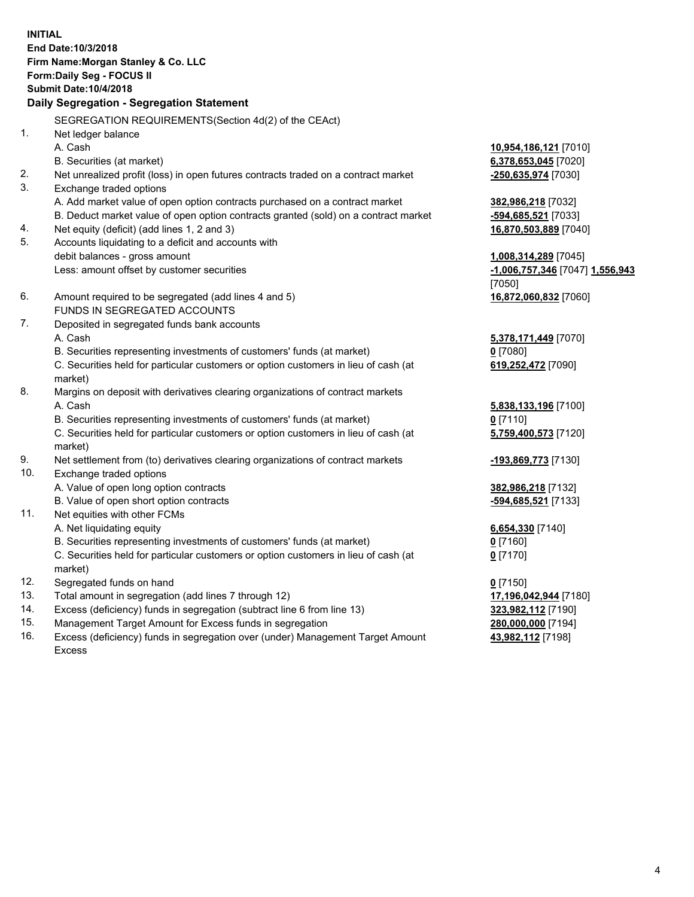**INITIAL End Date:10/3/2018 Firm Name:Morgan Stanley & Co. LLC Form:Daily Seg - FOCUS II Submit Date:10/4/2018 Daily Segregation - Segregation Statement** SEGREGATION REQUIREMENTS(Section 4d(2) of the CEAct) 1. Net ledger balance A. Cash **10,954,186,121** [7010] B. Securities (at market) **6,378,653,045** [7020] 2. Net unrealized profit (loss) in open futures contracts traded on a contract market **-250,635,974** [7030] 3. Exchange traded options A. Add market value of open option contracts purchased on a contract market **382,986,218** [7032] B. Deduct market value of open option contracts granted (sold) on a contract market **-594,685,521** [7033] 4. Net equity (deficit) (add lines 1, 2 and 3) **16,870,503,889** [7040] 5. Accounts liquidating to a deficit and accounts with debit balances - gross amount **1,008,314,289** [7045] Less: amount offset by customer securities **-1,006,757,346** [7047] **1,556,943** [7050] 6. Amount required to be segregated (add lines 4 and 5) **16,872,060,832** [7060] FUNDS IN SEGREGATED ACCOUNTS 7. Deposited in segregated funds bank accounts A. Cash **5,378,171,449** [7070] B. Securities representing investments of customers' funds (at market) **0** [7080] C. Securities held for particular customers or option customers in lieu of cash (at market) **619,252,472** [7090] 8. Margins on deposit with derivatives clearing organizations of contract markets A. Cash **5,838,133,196** [7100] B. Securities representing investments of customers' funds (at market) **0** [7110] C. Securities held for particular customers or option customers in lieu of cash (at market) **5,759,400,573** [7120] 9. Net settlement from (to) derivatives clearing organizations of contract markets **-193,869,773** [7130] 10. Exchange traded options A. Value of open long option contracts **382,986,218** [7132] B. Value of open short option contracts **and the set of our set of our set of our set of our set of our set of our set of our set of our set of our set of our set of our set of our set of our set of our set of our set of o** 11. Net equities with other FCMs A. Net liquidating equity **6,654,330** [7140] B. Securities representing investments of customers' funds (at market) **0** [7160] C. Securities held for particular customers or option customers in lieu of cash (at market) **0** [7170] 12. Segregated funds on hand **0** [7150] 13. Total amount in segregation (add lines 7 through 12) **17,196,042,944** [7180] 14. Excess (deficiency) funds in segregation (subtract line 6 from line 13) **323,982,112** [7190] 15. Management Target Amount for Excess funds in segregation **280,000,000** [7194]

16. Excess (deficiency) funds in segregation over (under) Management Target Amount Excess

**43,982,112** [7198]